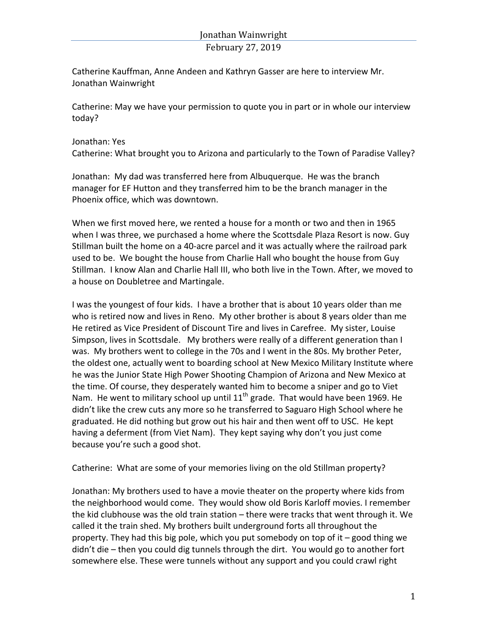Catherine Kauffman, Anne Andeen and Kathryn Gasser are here to interview Mr. Jonathan Wainwright

Catherine: May we have your permission to quote you in part or in whole our interview today?

# Jonathan: Yes Catherine: What brought you to Arizona and particularly to the Town of Paradise Valley?

Jonathan: My dad was transferred here from Albuquerque. He was the branch manager for EF Hutton and they transferred him to be the branch manager in the Phoenix office, which was downtown.

When we first moved here, we rented a house for a month or two and then in 1965 when I was three, we purchased a home where the Scottsdale Plaza Resort is now. Guy Stillman built the home on a 40-acre parcel and it was actually where the railroad park used to be. We bought the house from Charlie Hall who bought the house from Guy Stillman. I know Alan and Charlie Hall III, who both live in the Town. After, we moved to a house on Doubletree and Martingale.

I was the youngest of four kids. I have a brother that is about 10 years older than me who is retired now and lives in Reno. My other brother is about 8 years older than me He retired as Vice President of Discount Tire and lives in Carefree. My sister, Louise Simpson, lives in Scottsdale. My brothers were really of a different generation than I was. My brothers went to college in the 70s and I went in the 80s. My brother Peter, the oldest one, actually went to boarding school at New Mexico Military Institute where he was the Junior State High Power Shooting Champion of Arizona and New Mexico at the time. Of course, they desperately wanted him to become a sniper and go to Viet Nam. He went to military school up until  $11<sup>th</sup>$  grade. That would have been 1969. He didn't like the crew cuts any more so he transferred to Saguaro High School where he graduated. He did nothing but grow out his hair and then went off to USC. He kept having a deferment (from Viet Nam). They kept saying why don't you just come because you're such a good shot.

Catherine: What are some of your memories living on the old Stillman property?

Jonathan: My brothers used to have a movie theater on the property where kids from the neighborhood would come. They would show old Boris Karloff movies. I remember the kid clubhouse was the old train station  $-$  there were tracks that went through it. We called it the train shed. My brothers built underground forts all throughout the property. They had this big pole, which you put somebody on top of it  $-$  good thing we  $\frac{d}{dt}$  didn't die – then you could dig tunnels through the dirt. You would go to another fort somewhere else. These were tunnels without any support and you could crawl right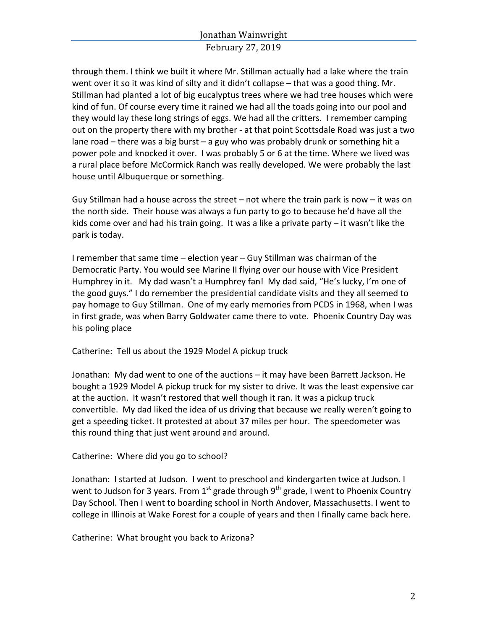through them. I think we built it where Mr. Stillman actually had a lake where the train went over it so it was kind of silty and it didn't collapse  $-$  that was a good thing. Mr. Stillman had planted a lot of big eucalyptus trees where we had tree houses which were kind of fun. Of course every time it rained we had all the toads going into our pool and they would lay these long strings of eggs. We had all the critters. I remember camping out on the property there with my brother - at that point Scottsdale Road was just a two lane road – there was a big burst – a guy who was probably drunk or something hit a power pole and knocked it over. I was probably 5 or 6 at the time. Where we lived was a rural place before McCormick Ranch was really developed. We were probably the last house until Albuquerque or something.

Guy Stillman had a house across the street  $-$  not where the train park is now  $-$  it was on the north side. Their house was always a fun party to go to because he'd have all the kids come over and had his train going. It was a like a private party  $-$  it wasn't like the park is today.

I remember that same time  $-$  election year  $-$  Guy Stillman was chairman of the Democratic Party. You would see Marine II flying over our house with Vice President Humphrey in it. My dad wasn't a Humphrey fan! My dad said, "He's lucky, I'm one of the good guys." I do remember the presidential candidate visits and they all seemed to pay homage to Guy Stillman. One of my early memories from PCDS in 1968, when I was in first grade, was when Barry Goldwater came there to vote. Phoenix Country Day was his poling place

Catherine: Tell us about the 1929 Model A pickup truck

Jonathan: My dad went to one of the auctions - it may have been Barrett Jackson. He bought a 1929 Model A pickup truck for my sister to drive. It was the least expensive car at the auction. It wasn't restored that well though it ran. It was a pickup truck convertible. My dad liked the idea of us driving that because we really weren't going to get a speeding ticket. It protested at about 37 miles per hour. The speedometer was this round thing that just went around and around.

#### Catherine: Where did you go to school?

Jonathan: I started at Judson. I went to preschool and kindergarten twice at Judson. I went to Judson for 3 years. From  $1^{st}$  grade through  $9^{th}$  grade, I went to Phoenix Country Day School. Then I went to boarding school in North Andover, Massachusetts. I went to college in Illinois at Wake Forest for a couple of years and then I finally came back here.

Catherine: What brought you back to Arizona?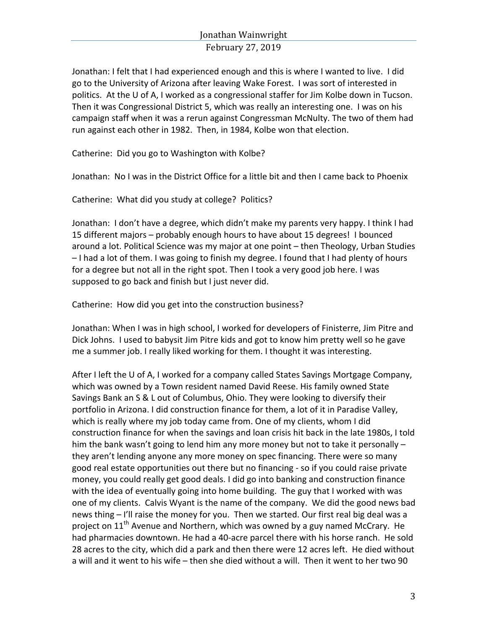Jonathan: I felt that I had experienced enough and this is where I wanted to live. I did go to the University of Arizona after leaving Wake Forest. I was sort of interested in politics. At the U of A, I worked as a congressional staffer for Jim Kolbe down in Tucson. Then it was Congressional District 5, which was really an interesting one. I was on his campaign staff when it was a rerun against Congressman McNulty. The two of them had run against each other in 1982. Then, in 1984, Kolbe won that election.

Catherine: Did you go to Washington with Kolbe?

Jonathan: No I was in the District Office for a little bit and then I came back to Phoenix

Catherine: What did you study at college? Politics?

Jonathan: I don't have a degree, which didn't make my parents very happy. I think I had 15 different majors – probably enough hours to have about 15 degrees! I bounced around a lot. Political Science was my major at one point - then Theology, Urban Studies - I had a lot of them. I was going to finish my degree. I found that I had plenty of hours for a degree but not all in the right spot. Then I took a very good job here. I was supposed to go back and finish but I just never did.

Catherine: How did you get into the construction business?

Jonathan: When I was in high school, I worked for developers of Finisterre, Jim Pitre and Dick Johns. I used to babysit Jim Pitre kids and got to know him pretty well so he gave me a summer job. I really liked working for them. I thought it was interesting.

After I left the U of A, I worked for a company called States Savings Mortgage Company, which was owned by a Town resident named David Reese. His family owned State Savings Bank an S & L out of Columbus, Ohio. They were looking to diversify their portfolio in Arizona. I did construction finance for them, a lot of it in Paradise Valley, which is really where my job today came from. One of my clients, whom I did construction finance for when the savings and loan crisis hit back in the late 1980s, I told him the bank wasn't going to lend him any more money but not to take it personally they aren't lending anyone any more money on spec financing. There were so many good real estate opportunities out there but no financing - so if you could raise private money, you could really get good deals. I did go into banking and construction finance with the idea of eventually going into home building. The guy that I worked with was one of my clients. Calvis Wyant is the name of the company. We did the good news bad news thing - I'll raise the money for you. Then we started. Our first real big deal was a project on  $11<sup>th</sup>$  Avenue and Northern, which was owned by a guy named McCrary. He had pharmacies downtown. He had a 40-acre parcel there with his horse ranch. He sold 28 acres to the city, which did a park and then there were 12 acres left. He died without a will and it went to his wife – then she died without a will. Then it went to her two 90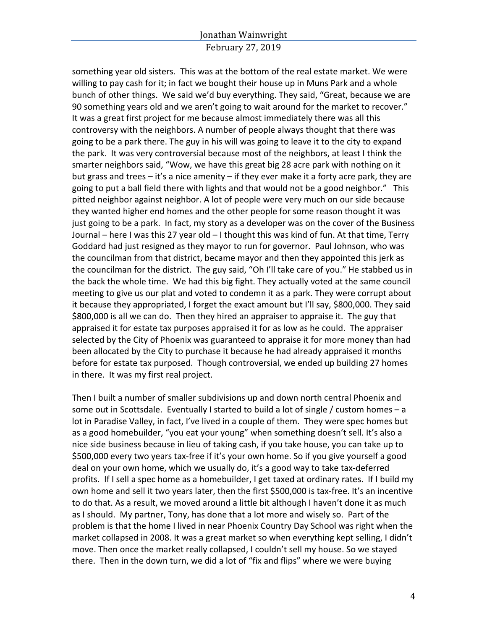something year old sisters. This was at the bottom of the real estate market. We were willing to pay cash for it; in fact we bought their house up in Muns Park and a whole bunch of other things. We said we'd buy everything. They said, "Great, because we are 90 something years old and we aren't going to wait around for the market to recover." It was a great first project for me because almost immediately there was all this controversy with the neighbors. A number of people always thought that there was going to be a park there. The guy in his will was going to leave it to the city to expand the park. It was very controversial because most of the neighbors, at least I think the smarter neighbors said, "Wow, we have this great big 28 acre park with nothing on it but grass and trees  $-$  it's a nice amenity  $-$  if they ever make it a forty acre park, they are going to put a ball field there with lights and that would not be a good neighbor." This pitted neighbor against neighbor. A lot of people were very much on our side because they wanted higher end homes and the other people for some reason thought it was just going to be a park. In fact, my story as a developer was on the cover of the Business Journal – here I was this 27 year old – I thought this was kind of fun. At that time, Terry Goddard had just resigned as they mayor to run for governor. Paul Johnson, who was the councilman from that district, became mayor and then they appointed this jerk as the councilman for the district. The guy said, "Oh I'll take care of you." He stabbed us in the back the whole time. We had this big fight. They actually voted at the same council meeting to give us our plat and voted to condemn it as a park. They were corrupt about it because they appropriated, I forget the exact amount but I'll say, \$800,000. They said \$800,000 is all we can do. Then they hired an appraiser to appraise it. The guy that appraised it for estate tax purposes appraised it for as low as he could. The appraiser selected by the City of Phoenix was guaranteed to appraise it for more money than had been allocated by the City to purchase it because he had already appraised it months before for estate tax purposed. Though controversial, we ended up building 27 homes in there. It was my first real project.

Then I built a number of smaller subdivisions up and down north central Phoenix and some out in Scottsdale. Eventually I started to build a lot of single / custom homes  $-$  a lot in Paradise Valley, in fact, I've lived in a couple of them. They were spec homes but as a good homebuilder, "you eat your young" when something doesn't sell. It's also a nice side business because in lieu of taking cash, if you take house, you can take up to \$500,000 every two years tax-free if it's your own home. So if you give yourself a good deal on your own home, which we usually do, it's a good way to take tax-deferred profits. If I sell a spec home as a homebuilder, I get taxed at ordinary rates. If I build my own home and sell it two years later, then the first \$500,000 is tax-free. It's an incentive to do that. As a result, we moved around a little bit although I haven't done it as much as I should. My partner, Tony, has done that a lot more and wisely so. Part of the problem is that the home I lived in near Phoenix Country Day School was right when the market collapsed in 2008. It was a great market so when everything kept selling, I didn't move. Then once the market really collapsed, I couldn't sell my house. So we stayed there. Then in the down turn, we did a lot of "fix and flips" where we were buying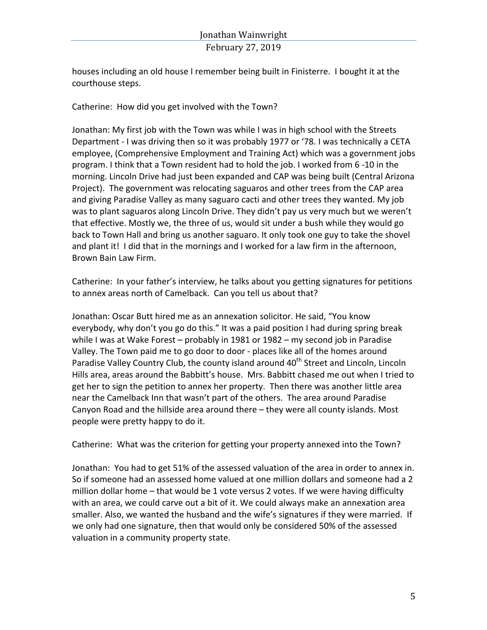houses including an old house I remember being built in Finisterre. I bought it at the courthouse steps.

Catherine: How did you get involved with the Town?

Jonathan: My first job with the Town was while I was in high school with the Streets Department - I was driving then so it was probably 1977 or '78. I was technically a CETA employee, (Comprehensive Employment and Training Act) which was a government jobs program. I think that a Town resident had to hold the job. I worked from 6 -10 in the morning. Lincoln Drive had just been expanded and CAP was being built (Central Arizona Project). The government was relocating saguaros and other trees from the CAP area and giving Paradise Valley as many saguaro cacti and other trees they wanted. My job was to plant saguaros along Lincoln Drive. They didn't pay us very much but we weren't that effective. Mostly we, the three of us, would sit under a bush while they would go back to Town Hall and bring us another saguaro. It only took one guy to take the shovel and plant it! I did that in the mornings and I worked for a law firm in the afternoon, Brown Bain Law Firm. 

Catherine: In your father's interview, he talks about you getting signatures for petitions to annex areas north of Camelback. Can you tell us about that?

Jonathan: Oscar Butt hired me as an annexation solicitor. He said, "You know everybody, why don't you go do this." It was a paid position I had during spring break while I was at Wake Forest – probably in 1981 or  $1982 - my$  second job in Paradise Valley. The Town paid me to go door to door - places like all of the homes around Paradise Valley Country Club, the county island around 40<sup>th</sup> Street and Lincoln, Lincoln Hills area, areas around the Babbitt's house. Mrs. Babbitt chased me out when I tried to get her to sign the petition to annex her property. Then there was another little area near the Camelback Inn that wasn't part of the others. The area around Paradise Canyon Road and the hillside area around there – they were all county islands. Most people were pretty happy to do it.

Catherine: What was the criterion for getting your property annexed into the Town?

Jonathan: You had to get 51% of the assessed valuation of the area in order to annex in. So if someone had an assessed home valued at one million dollars and someone had a 2 million dollar home  $-$  that would be 1 vote versus 2 votes. If we were having difficulty with an area, we could carve out a bit of it. We could always make an annexation area smaller. Also, we wanted the husband and the wife's signatures if they were married. If we only had one signature, then that would only be considered 50% of the assessed valuation in a community property state.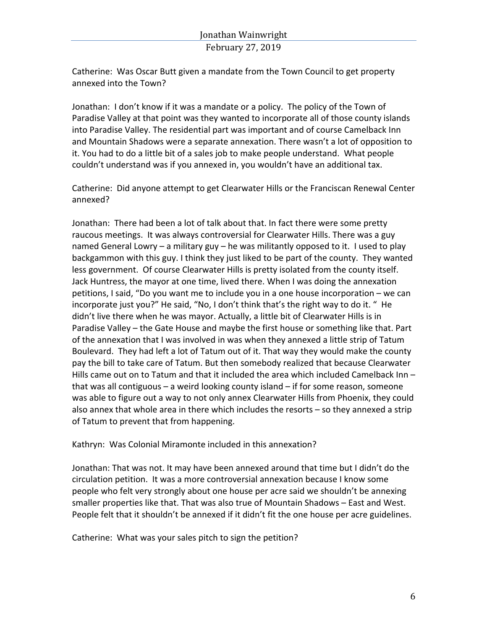Catherine: Was Oscar Butt given a mandate from the Town Council to get property annexed into the Town?

Jonathan: I don't know if it was a mandate or a policy. The policy of the Town of Paradise Valley at that point was they wanted to incorporate all of those county islands into Paradise Valley. The residential part was important and of course Camelback Inn and Mountain Shadows were a separate annexation. There wasn't a lot of opposition to it. You had to do a little bit of a sales job to make people understand. What people couldn't understand was if you annexed in, you wouldn't have an additional tax.

Catherine: Did anyone attempt to get Clearwater Hills or the Franciscan Renewal Center annexed?

Jonathan: There had been a lot of talk about that. In fact there were some pretty raucous meetings. It was always controversial for Clearwater Hills. There was a guy named General Lowry – a military guy – he was militantly opposed to it. I used to play backgammon with this guy. I think they just liked to be part of the county. They wanted less government. Of course Clearwater Hills is pretty isolated from the county itself. Jack Huntress, the mayor at one time, lived there. When I was doing the annexation petitions, I said, "Do you want me to include you in a one house incorporation  $-$  we can incorporate just you?" He said, "No, I don't think that's the right way to do it. " He didn't live there when he was mayor. Actually, a little bit of Clearwater Hills is in Paradise Valley – the Gate House and maybe the first house or something like that. Part of the annexation that I was involved in was when they annexed a little strip of Tatum Boulevard. They had left a lot of Tatum out of it. That way they would make the county pay the bill to take care of Tatum. But then somebody realized that because Clearwater Hills came out on to Tatum and that it included the area which included Camelback Inn  $$ that was all contiguous  $-$  a weird looking county island  $-$  if for some reason, someone was able to figure out a way to not only annex Clearwater Hills from Phoenix, they could also annex that whole area in there which includes the resorts  $-$  so they annexed a strip of Tatum to prevent that from happening.

Kathryn: Was Colonial Miramonte included in this annexation?

Jonathan: That was not. It may have been annexed around that time but I didn't do the circulation petition. It was a more controversial annexation because I know some people who felt very strongly about one house per acre said we shouldn't be annexing smaller properties like that. That was also true of Mountain Shadows - East and West. People felt that it shouldn't be annexed if it didn't fit the one house per acre guidelines.

Catherine: What was your sales pitch to sign the petition?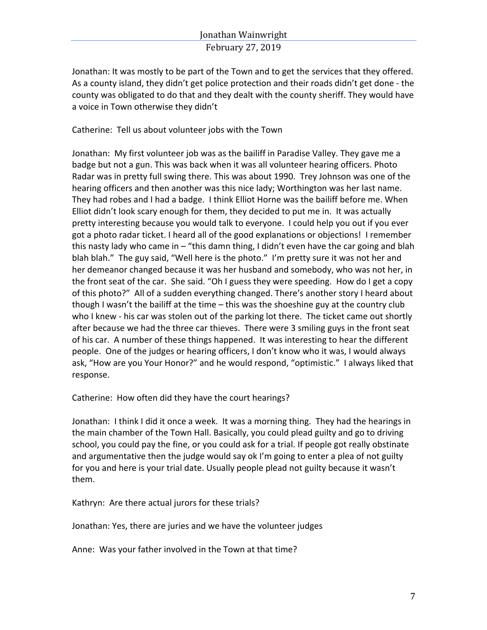Jonathan: It was mostly to be part of the Town and to get the services that they offered. As a county island, they didn't get police protection and their roads didn't get done - the county was obligated to do that and they dealt with the county sheriff. They would have a voice in Town otherwise they didn't

### Catherine: Tell us about volunteer jobs with the Town

Jonathan: My first volunteer job was as the bailiff in Paradise Valley. They gave me a badge but not a gun. This was back when it was all volunteer hearing officers. Photo Radar was in pretty full swing there. This was about 1990. Trey Johnson was one of the hearing officers and then another was this nice lady; Worthington was her last name. They had robes and I had a badge. I think Elliot Horne was the bailiff before me. When Elliot didn't look scary enough for them, they decided to put me in. It was actually pretty interesting because you would talk to everyone. I could help you out if you ever got a photo radar ticket. I heard all of the good explanations or objections! I remember this nasty lady who came in – "this damn thing, I didn't even have the car going and blah blah blah." The guy said, "Well here is the photo." I'm pretty sure it was not her and her demeanor changed because it was her husband and somebody, who was not her, in the front seat of the car. She said. "Oh I guess they were speeding. How do I get a copy of this photo?" All of a sudden everything changed. There's another story I heard about though I wasn't the bailiff at the time  $-$  this was the shoeshine guy at the country club who I knew - his car was stolen out of the parking lot there. The ticket came out shortly after because we had the three car thieves. There were 3 smiling guys in the front seat of his car. A number of these things happened. It was interesting to hear the different people. One of the judges or hearing officers, I don't know who it was, I would always ask, "How are you Your Honor?" and he would respond, "optimistic." I always liked that response. 

Catherine: How often did they have the court hearings?

Jonathan: I think I did it once a week. It was a morning thing. They had the hearings in the main chamber of the Town Hall. Basically, you could plead guilty and go to driving school, you could pay the fine, or you could ask for a trial. If people got really obstinate and argumentative then the judge would say ok I'm going to enter a plea of not guilty for you and here is your trial date. Usually people plead not guilty because it wasn't them. 

Kathryn: Are there actual jurors for these trials?

Jonathan: Yes, there are juries and we have the volunteer judges

Anne: Was your father involved in the Town at that time?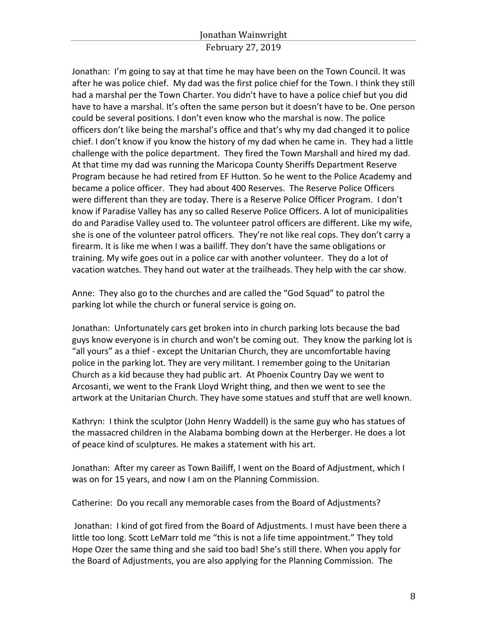Jonathan: I'm going to say at that time he may have been on the Town Council. It was after he was police chief. My dad was the first police chief for the Town. I think they still had a marshal per the Town Charter. You didn't have to have a police chief but you did have to have a marshal. It's often the same person but it doesn't have to be. One person could be several positions. I don't even know who the marshal is now. The police officers don't like being the marshal's office and that's why my dad changed it to police chief. I don't know if you know the history of my dad when he came in. They had a little challenge with the police department. They fired the Town Marshall and hired my dad. At that time my dad was running the Maricopa County Sheriffs Department Reserve Program because he had retired from EF Hutton. So he went to the Police Academy and became a police officer. They had about 400 Reserves. The Reserve Police Officers were different than they are today. There is a Reserve Police Officer Program. I don't know if Paradise Valley has any so called Reserve Police Officers. A lot of municipalities do and Paradise Valley used to. The volunteer patrol officers are different. Like my wife, she is one of the volunteer patrol officers. They're not like real cops. They don't carry a firearm. It is like me when I was a bailiff. They don't have the same obligations or training. My wife goes out in a police car with another volunteer. They do a lot of vacation watches. They hand out water at the trailheads. They help with the car show.

Anne: They also go to the churches and are called the "God Squad" to patrol the parking lot while the church or funeral service is going on.

Jonathan: Unfortunately cars get broken into in church parking lots because the bad guys know everyone is in church and won't be coming out. They know the parking lot is "all yours" as a thief - except the Unitarian Church, they are uncomfortable having police in the parking lot. They are very militant. I remember going to the Unitarian Church as a kid because they had public art. At Phoenix Country Day we went to Arcosanti, we went to the Frank Lloyd Wright thing, and then we went to see the artwork at the Unitarian Church. They have some statues and stuff that are well known.

Kathryn: I think the sculptor (John Henry Waddell) is the same guy who has statues of the massacred children in the Alabama bombing down at the Herberger. He does a lot of peace kind of sculptures. He makes a statement with his art.

Jonathan: After my career as Town Bailiff, I went on the Board of Adjustment, which I was on for 15 years, and now I am on the Planning Commission.

Catherine: Do you recall any memorable cases from the Board of Adjustments?

Jonathan: I kind of got fired from the Board of Adjustments. I must have been there a little too long. Scott LeMarr told me "this is not a life time appointment." They told Hope Ozer the same thing and she said too bad! She's still there. When you apply for the Board of Adjustments, you are also applying for the Planning Commission. The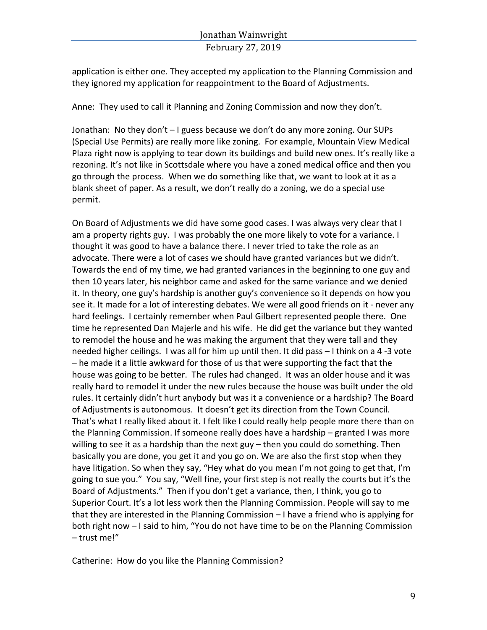application is either one. They accepted my application to the Planning Commission and they ignored my application for reappointment to the Board of Adjustments.

Anne: They used to call it Planning and Zoning Commission and now they don't.

Jonathan: No they don't  $-1$  guess because we don't do any more zoning. Our SUPs (Special Use Permits) are really more like zoning. For example, Mountain View Medical Plaza right now is applying to tear down its buildings and build new ones. It's really like a rezoning. It's not like in Scottsdale where you have a zoned medical office and then you go through the process. When we do something like that, we want to look at it as a blank sheet of paper. As a result, we don't really do a zoning, we do a special use permit. 

On Board of Adjustments we did have some good cases. I was always very clear that I am a property rights guy. I was probably the one more likely to vote for a variance. I thought it was good to have a balance there. I never tried to take the role as an advocate. There were a lot of cases we should have granted variances but we didn't. Towards the end of my time, we had granted variances in the beginning to one guy and then 10 years later, his neighbor came and asked for the same variance and we denied it. In theory, one guy's hardship is another guy's convenience so it depends on how you see it. It made for a lot of interesting debates. We were all good friends on it - never any hard feelings. I certainly remember when Paul Gilbert represented people there. One time he represented Dan Majerle and his wife. He did get the variance but they wanted to remodel the house and he was making the argument that they were tall and they needed higher ceilings. I was all for him up until then. It did pass - I think on a 4 -3 vote  $-$  he made it a little awkward for those of us that were supporting the fact that the house was going to be better. The rules had changed. It was an older house and it was really hard to remodel it under the new rules because the house was built under the old rules. It certainly didn't hurt anybody but was it a convenience or a hardship? The Board of Adjustments is autonomous. It doesn't get its direction from the Town Council. That's what I really liked about it. I felt like I could really help people more there than on the Planning Commission. If someone really does have a hardship – granted I was more willing to see it as a hardship than the next  $guy$  – then you could do something. Then basically you are done, you get it and you go on. We are also the first stop when they have litigation. So when they say, "Hey what do you mean I'm not going to get that, I'm going to sue you." You say, "Well fine, your first step is not really the courts but it's the Board of Adjustments." Then if you don't get a variance, then, I think, you go to Superior Court. It's a lot less work then the Planning Commission. People will say to me that they are interested in the Planning Commission  $-1$  have a friend who is applying for both right now – I said to him, "You do not have time to be on the Planning Commission – trust me!"

Catherine: How do you like the Planning Commission?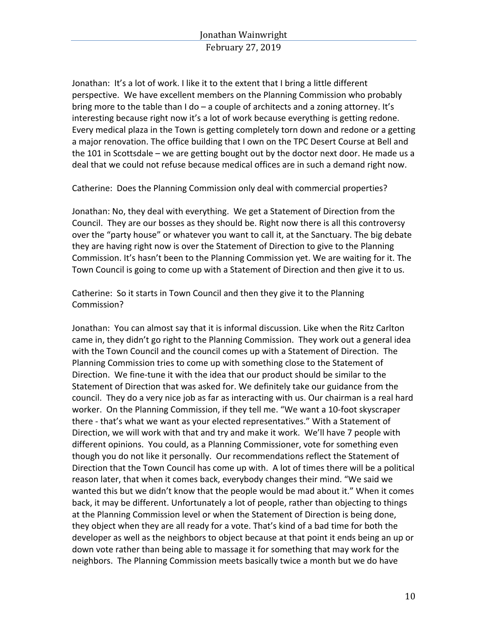Jonathan: It's a lot of work. I like it to the extent that I bring a little different perspective. We have excellent members on the Planning Commission who probably bring more to the table than  $1$  do  $-$  a couple of architects and a zoning attorney. It's interesting because right now it's a lot of work because everything is getting redone. Every medical plaza in the Town is getting completely torn down and redone or a getting a major renovation. The office building that I own on the TPC Desert Course at Bell and the 101 in Scottsdale – we are getting bought out by the doctor next door. He made us a deal that we could not refuse because medical offices are in such a demand right now.

Catherine: Does the Planning Commission only deal with commercial properties?

Jonathan: No, they deal with everything. We get a Statement of Direction from the Council. They are our bosses as they should be. Right now there is all this controversy over the "party house" or whatever you want to call it, at the Sanctuary. The big debate they are having right now is over the Statement of Direction to give to the Planning Commission. It's hasn't been to the Planning Commission yet. We are waiting for it. The Town Council is going to come up with a Statement of Direction and then give it to us.

Catherine: So it starts in Town Council and then they give it to the Planning Commission?

Jonathan: You can almost say that it is informal discussion. Like when the Ritz Carlton came in, they didn't go right to the Planning Commission. They work out a general idea with the Town Council and the council comes up with a Statement of Direction. The Planning Commission tries to come up with something close to the Statement of Direction. We fine-tune it with the idea that our product should be similar to the Statement of Direction that was asked for. We definitely take our guidance from the council. They do a very nice job as far as interacting with us. Our chairman is a real hard worker. On the Planning Commission, if they tell me. "We want a 10-foot skyscraper there - that's what we want as your elected representatives." With a Statement of Direction, we will work with that and try and make it work. We'll have 7 people with different opinions. You could, as a Planning Commissioner, vote for something even though you do not like it personally. Our recommendations reflect the Statement of Direction that the Town Council has come up with. A lot of times there will be a political reason later, that when it comes back, everybody changes their mind. "We said we wanted this but we didn't know that the people would be mad about it." When it comes back, it may be different. Unfortunately a lot of people, rather than objecting to things at the Planning Commission level or when the Statement of Direction is being done, they object when they are all ready for a vote. That's kind of a bad time for both the developer as well as the neighbors to object because at that point it ends being an up or down vote rather than being able to massage it for something that may work for the neighbors. The Planning Commission meets basically twice a month but we do have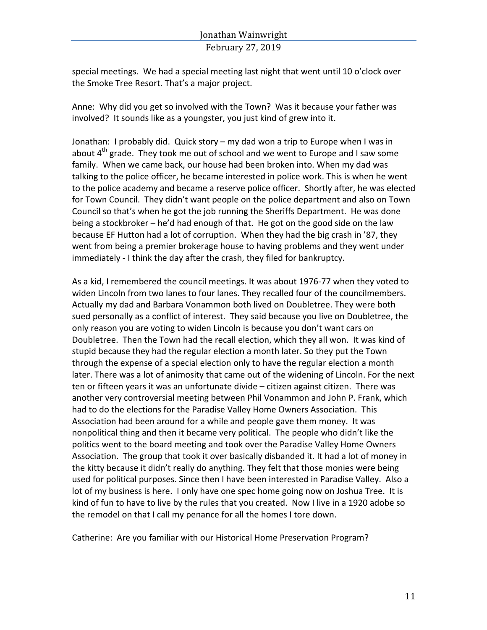special meetings. We had a special meeting last night that went until 10 o'clock over the Smoke Tree Resort. That's a major project.

Anne: Why did you get so involved with the Town? Was it because your father was involved? It sounds like as a youngster, you just kind of grew into it.

Jonathan: I probably did. Quick story – my dad won a trip to Europe when I was in about  $4^{th}$  grade. They took me out of school and we went to Europe and I saw some family. When we came back, our house had been broken into. When my dad was talking to the police officer, he became interested in police work. This is when he went to the police academy and became a reserve police officer. Shortly after, he was elected for Town Council. They didn't want people on the police department and also on Town Council so that's when he got the job running the Sheriffs Department. He was done being a stockbroker - he'd had enough of that. He got on the good side on the law because EF Hutton had a lot of corruption. When they had the big crash in '87, they went from being a premier brokerage house to having problems and they went under immediately - I think the day after the crash, they filed for bankruptcy.

As a kid, I remembered the council meetings. It was about 1976-77 when they voted to widen Lincoln from two lanes to four lanes. They recalled four of the councilmembers. Actually my dad and Barbara Vonammon both lived on Doubletree. They were both sued personally as a conflict of interest. They said because you live on Doubletree, the only reason you are voting to widen Lincoln is because you don't want cars on Doubletree. Then the Town had the recall election, which they all won. It was kind of stupid because they had the regular election a month later. So they put the Town through the expense of a special election only to have the regular election a month later. There was a lot of animosity that came out of the widening of Lincoln. For the next  $ten$  or fifteen years it was an unfortunate divide  $-$  citizen against citizen. There was another very controversial meeting between Phil Vonammon and John P. Frank, which had to do the elections for the Paradise Valley Home Owners Association. This Association had been around for a while and people gave them money. It was nonpolitical thing and then it became very political. The people who didn't like the politics went to the board meeting and took over the Paradise Valley Home Owners Association. The group that took it over basically disbanded it. It had a lot of money in the kitty because it didn't really do anything. They felt that those monies were being used for political purposes. Since then I have been interested in Paradise Valley. Also a lot of my business is here. I only have one spec home going now on Joshua Tree. It is kind of fun to have to live by the rules that you created. Now I live in a 1920 adobe so the remodel on that I call my penance for all the homes I tore down.

Catherine: Are you familiar with our Historical Home Preservation Program?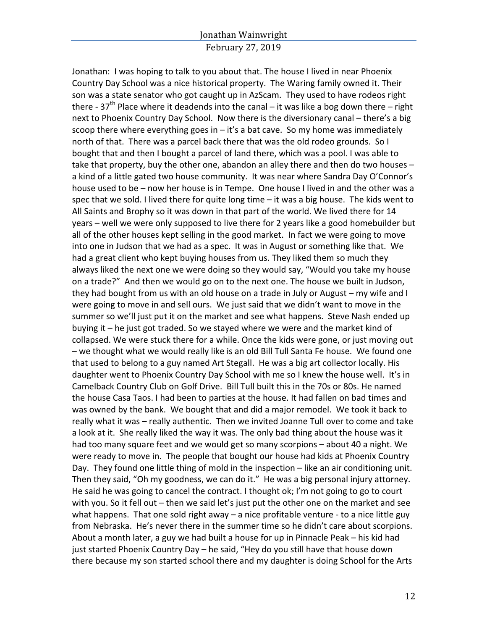Jonathan: I was hoping to talk to you about that. The house I lived in near Phoenix Country Day School was a nice historical property. The Waring family owned it. Their son was a state senator who got caught up in AzScam. They used to have rodeos right there -  $37<sup>th</sup>$  Place where it deadends into the canal – it was like a bog down there – right next to Phoenix Country Day School. Now there is the diversionary canal – there's a big scoop there where everything goes in  $-$  it's a bat cave. So my home was immediately north of that. There was a parcel back there that was the old rodeo grounds. So I bought that and then I bought a parcel of land there, which was a pool. I was able to take that property, buy the other one, abandon an alley there and then do two houses  $$ a kind of a little gated two house community. It was near where Sandra Day O'Connor's house used to be – now her house is in Tempe. One house I lived in and the other was a spec that we sold. I lived there for quite long time  $-$  it was a big house. The kids went to All Saints and Brophy so it was down in that part of the world. We lived there for 14 years – well we were only supposed to live there for 2 years like a good homebuilder but all of the other houses kept selling in the good market. In fact we were going to move into one in Judson that we had as a spec. It was in August or something like that. We had a great client who kept buying houses from us. They liked them so much they always liked the next one we were doing so they would say, "Would you take my house on a trade?" And then we would go on to the next one. The house we built in Judson, they had bought from us with an old house on a trade in July or August – my wife and  $\Gamma$ were going to move in and sell ours. We just said that we didn't want to move in the summer so we'll just put it on the market and see what happens. Steve Nash ended up buying it – he just got traded. So we stayed where we were and the market kind of collapsed. We were stuck there for a while. Once the kids were gone, or just moving out – we thought what we would really like is an old Bill Tull Santa Fe house. We found one that used to belong to a guy named Art Stegall. He was a big art collector locally. His daughter went to Phoenix Country Day School with me so I knew the house well. It's in Camelback Country Club on Golf Drive. Bill Tull built this in the 70s or 80s. He named the house Casa Taos. I had been to parties at the house. It had fallen on bad times and was owned by the bank. We bought that and did a major remodel. We took it back to really what it was – really authentic. Then we invited Joanne Tull over to come and take a look at it. She really liked the way it was. The only bad thing about the house was it had too many square feet and we would get so many scorpions - about 40 a night. We were ready to move in. The people that bought our house had kids at Phoenix Country Day. They found one little thing of mold in the inspection – like an air conditioning unit. Then they said, "Oh my goodness, we can do it." He was a big personal injury attorney. He said he was going to cancel the contract. I thought ok; I'm not going to go to court with you. So it fell out  $-$  then we said let's just put the other one on the market and see what happens. That one sold right away  $-$  a nice profitable venture - to a nice little guy from Nebraska. He's never there in the summer time so he didn't care about scorpions. About a month later, a guy we had built a house for up in Pinnacle Peak - his kid had just started Phoenix Country Day – he said, "Hey do you still have that house down there because my son started school there and my daughter is doing School for the Arts